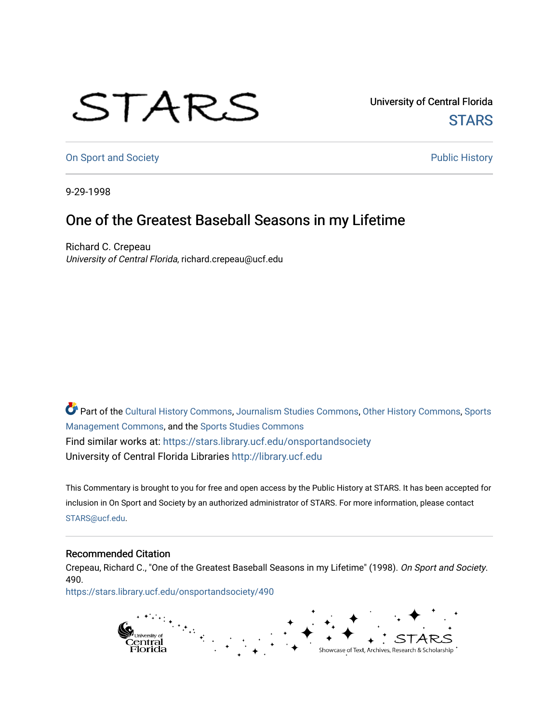## STARS

University of Central Florida **STARS** 

[On Sport and Society](https://stars.library.ucf.edu/onsportandsociety) **Public History** Public History

9-29-1998

## One of the Greatest Baseball Seasons in my Lifetime

Richard C. Crepeau University of Central Florida, richard.crepeau@ucf.edu

Part of the [Cultural History Commons](http://network.bepress.com/hgg/discipline/496?utm_source=stars.library.ucf.edu%2Fonsportandsociety%2F490&utm_medium=PDF&utm_campaign=PDFCoverPages), [Journalism Studies Commons,](http://network.bepress.com/hgg/discipline/333?utm_source=stars.library.ucf.edu%2Fonsportandsociety%2F490&utm_medium=PDF&utm_campaign=PDFCoverPages) [Other History Commons,](http://network.bepress.com/hgg/discipline/508?utm_source=stars.library.ucf.edu%2Fonsportandsociety%2F490&utm_medium=PDF&utm_campaign=PDFCoverPages) [Sports](http://network.bepress.com/hgg/discipline/1193?utm_source=stars.library.ucf.edu%2Fonsportandsociety%2F490&utm_medium=PDF&utm_campaign=PDFCoverPages) [Management Commons](http://network.bepress.com/hgg/discipline/1193?utm_source=stars.library.ucf.edu%2Fonsportandsociety%2F490&utm_medium=PDF&utm_campaign=PDFCoverPages), and the [Sports Studies Commons](http://network.bepress.com/hgg/discipline/1198?utm_source=stars.library.ucf.edu%2Fonsportandsociety%2F490&utm_medium=PDF&utm_campaign=PDFCoverPages) Find similar works at: <https://stars.library.ucf.edu/onsportandsociety> University of Central Florida Libraries [http://library.ucf.edu](http://library.ucf.edu/) 

This Commentary is brought to you for free and open access by the Public History at STARS. It has been accepted for inclusion in On Sport and Society by an authorized administrator of STARS. For more information, please contact [STARS@ucf.edu](mailto:STARS@ucf.edu).

## Recommended Citation

Crepeau, Richard C., "One of the Greatest Baseball Seasons in my Lifetime" (1998). On Sport and Society. 490.

[https://stars.library.ucf.edu/onsportandsociety/490](https://stars.library.ucf.edu/onsportandsociety/490?utm_source=stars.library.ucf.edu%2Fonsportandsociety%2F490&utm_medium=PDF&utm_campaign=PDFCoverPages)

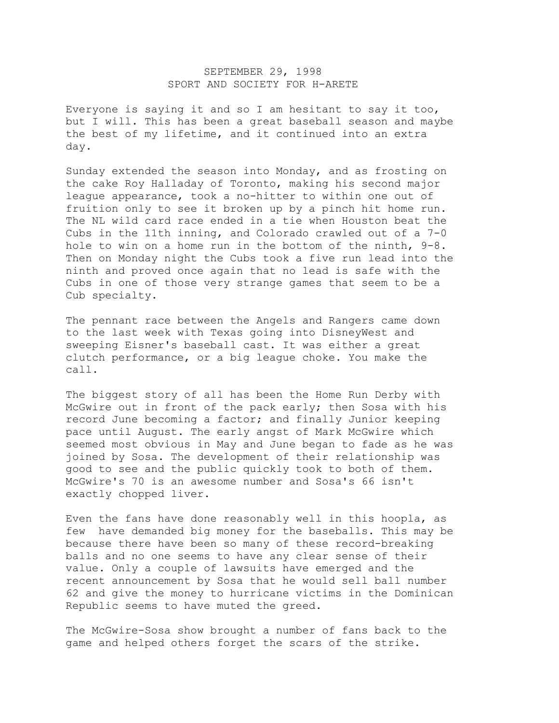## SEPTEMBER 29, 1998 SPORT AND SOCIETY FOR H-ARETE

Everyone is saying it and so I am hesitant to say it too, but I will. This has been a great baseball season and maybe the best of my lifetime, and it continued into an extra day.

Sunday extended the season into Monday, and as frosting on the cake Roy Halladay of Toronto, making his second major league appearance, took a no-hitter to within one out of fruition only to see it broken up by a pinch hit home run. The NL wild card race ended in a tie when Houston beat the Cubs in the 11th inning, and Colorado crawled out of a 7-0 hole to win on a home run in the bottom of the ninth, 9-8. Then on Monday night the Cubs took a five run lead into the ninth and proved once again that no lead is safe with the Cubs in one of those very strange games that seem to be a Cub specialty.

The pennant race between the Angels and Rangers came down to the last week with Texas going into DisneyWest and sweeping Eisner's baseball cast. It was either a great clutch performance, or a big league choke. You make the call.

The biggest story of all has been the Home Run Derby with McGwire out in front of the pack early; then Sosa with his record June becoming a factor; and finally Junior keeping pace until August. The early angst of Mark McGwire which seemed most obvious in May and June began to fade as he was joined by Sosa. The development of their relationship was good to see and the public quickly took to both of them. McGwire's 70 is an awesome number and Sosa's 66 isn't exactly chopped liver.

Even the fans have done reasonably well in this hoopla, as few have demanded big money for the baseballs. This may be because there have been so many of these record-breaking balls and no one seems to have any clear sense of their value. Only a couple of lawsuits have emerged and the recent announcement by Sosa that he would sell ball number 62 and give the money to hurricane victims in the Dominican Republic seems to have muted the greed.

The McGwire-Sosa show brought a number of fans back to the game and helped others forget the scars of the strike.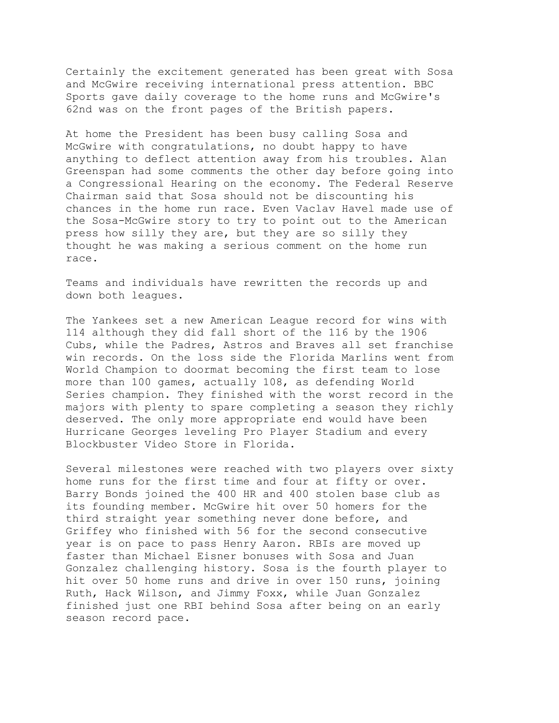Certainly the excitement generated has been great with Sosa and McGwire receiving international press attention. BBC Sports gave daily coverage to the home runs and McGwire's 62nd was on the front pages of the British papers.

At home the President has been busy calling Sosa and McGwire with congratulations, no doubt happy to have anything to deflect attention away from his troubles. Alan Greenspan had some comments the other day before going into a Congressional Hearing on the economy. The Federal Reserve Chairman said that Sosa should not be discounting his chances in the home run race. Even Vaclav Havel made use of the Sosa-McGwire story to try to point out to the American press how silly they are, but they are so silly they thought he was making a serious comment on the home run race.

Teams and individuals have rewritten the records up and down both leagues.

The Yankees set a new American League record for wins with 114 although they did fall short of the 116 by the 1906 Cubs, while the Padres, Astros and Braves all set franchise win records. On the loss side the Florida Marlins went from World Champion to doormat becoming the first team to lose more than 100 games, actually 108, as defending World Series champion. They finished with the worst record in the majors with plenty to spare completing a season they richly deserved. The only more appropriate end would have been Hurricane Georges leveling Pro Player Stadium and every Blockbuster Video Store in Florida.

Several milestones were reached with two players over sixty home runs for the first time and four at fifty or over. Barry Bonds joined the 400 HR and 400 stolen base club as its founding member. McGwire hit over 50 homers for the third straight year something never done before, and Griffey who finished with 56 for the second consecutive year is on pace to pass Henry Aaron. RBIs are moved up faster than Michael Eisner bonuses with Sosa and Juan Gonzalez challenging history. Sosa is the fourth player to hit over 50 home runs and drive in over 150 runs, joining Ruth, Hack Wilson, and Jimmy Foxx, while Juan Gonzalez finished just one RBI behind Sosa after being on an early season record pace.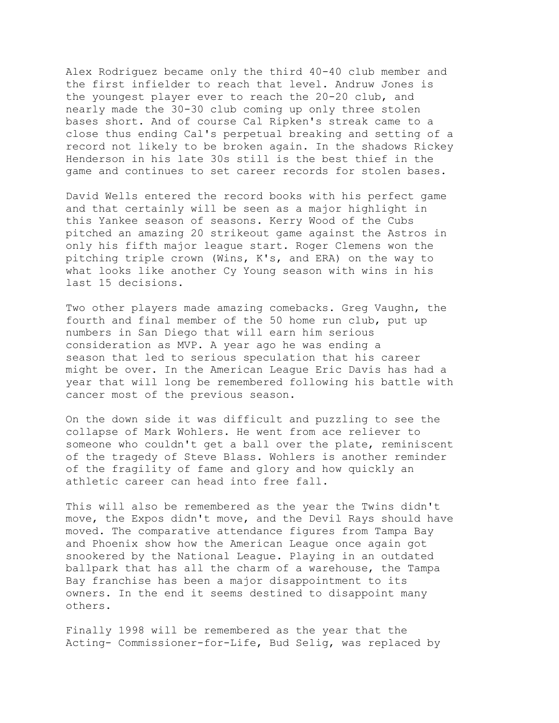Alex Rodriguez became only the third 40-40 club member and the first infielder to reach that level. Andruw Jones is the youngest player ever to reach the 20-20 club, and nearly made the 30-30 club coming up only three stolen bases short. And of course Cal Ripken's streak came to a close thus ending Cal's perpetual breaking and setting of a record not likely to be broken again. In the shadows Rickey Henderson in his late 30s still is the best thief in the game and continues to set career records for stolen bases.

David Wells entered the record books with his perfect game and that certainly will be seen as a major highlight in this Yankee season of seasons. Kerry Wood of the Cubs pitched an amazing 20 strikeout game against the Astros in only his fifth major league start. Roger Clemens won the pitching triple crown (Wins, K's, and ERA) on the way to what looks like another Cy Young season with wins in his last 15 decisions.

Two other players made amazing comebacks. Greg Vaughn, the fourth and final member of the 50 home run club, put up numbers in San Diego that will earn him serious consideration as MVP. A year ago he was ending a season that led to serious speculation that his career might be over. In the American League Eric Davis has had a year that will long be remembered following his battle with cancer most of the previous season.

On the down side it was difficult and puzzling to see the collapse of Mark Wohlers. He went from ace reliever to someone who couldn't get a ball over the plate, reminiscent of the tragedy of Steve Blass. Wohlers is another reminder of the fragility of fame and glory and how quickly an athletic career can head into free fall.

This will also be remembered as the year the Twins didn't move, the Expos didn't move, and the Devil Rays should have moved. The comparative attendance figures from Tampa Bay and Phoenix show how the American League once again got snookered by the National League. Playing in an outdated ballpark that has all the charm of a warehouse, the Tampa Bay franchise has been a major disappointment to its owners. In the end it seems destined to disappoint many others.

Finally 1998 will be remembered as the year that the Acting- Commissioner-for-Life, Bud Selig, was replaced by